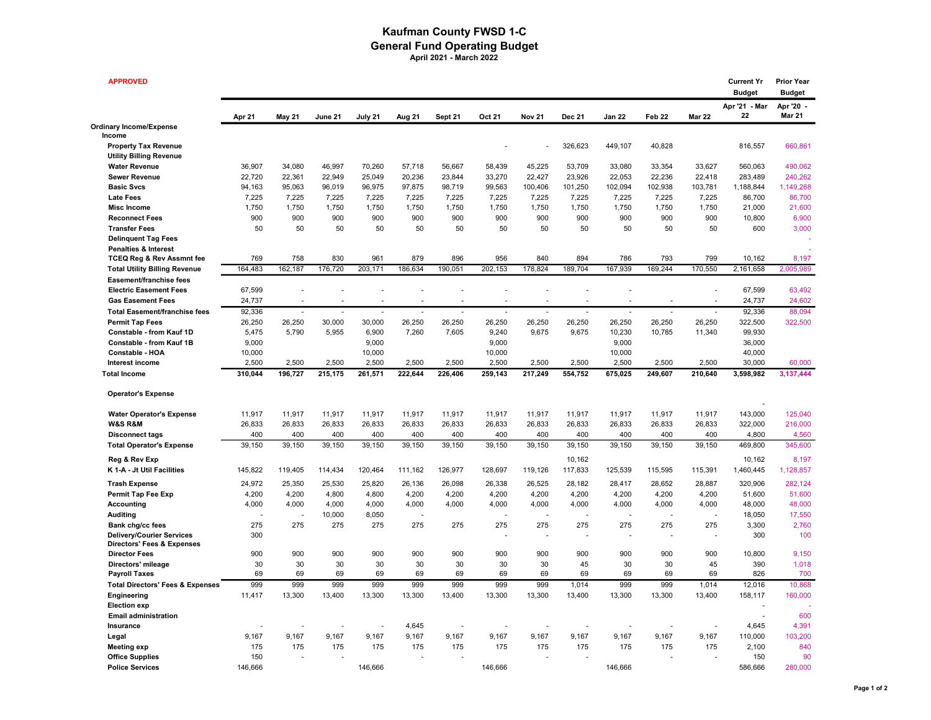## Kaufman County FWSD 1-C General Fund Operating Budget April 2021 - March 2022

| <b>APPROVED</b>                                                           |              |                  |              |              |              |                  |                  |               |              |                   |                   |                   | <b>Current Yr</b><br><b>Budget</b> | <b>Prior Year</b><br><b>Budget</b> |
|---------------------------------------------------------------------------|--------------|------------------|--------------|--------------|--------------|------------------|------------------|---------------|--------------|-------------------|-------------------|-------------------|------------------------------------|------------------------------------|
|                                                                           | Apr 21       | <b>May 21</b>    | June 21      | July 21      | Aug 21       | Sept 21          | Oct 21           | <b>Nov 21</b> | Dec 21       | Jan 22            | Feb <sub>22</sub> | <b>Mar 22</b>     | Apr '21 - Mar<br>22                | Apr '20<br><b>Mar 21</b>           |
| Ordinary Income/Expense<br>Income                                         |              |                  |              |              |              |                  |                  |               |              |                   |                   |                   |                                    |                                    |
| <b>Property Tax Revenue</b>                                               |              |                  |              |              |              |                  |                  |               | 326,623      | 449,107           | 40,828            |                   | 816,557                            | 660,861                            |
| <b>Utility Billing Revenue</b>                                            |              |                  |              |              |              |                  |                  |               |              |                   |                   |                   |                                    |                                    |
|                                                                           | 36,907       | 34,080           | 46,997       | 70,260       | 57,718       | 56,667           | 58,439           | 45,225        | 53,709       | 33,080            |                   | 33,627            | 560,063                            | 490,062                            |
| <b>Water Revenue</b>                                                      | 22,720       |                  | 22,949       | 25,049       | 20,236       |                  |                  | 22,427        | 23,926       |                   | 33,354            |                   |                                    |                                    |
| <b>Sewer Revenue</b><br><b>Basic Svcs</b>                                 | 94,163       | 22,361<br>95,063 | 96,019       | 96,975       | 97,875       | 23,844<br>98,719 | 33,270<br>99,563 | 100,406       | 101,250      | 22,053<br>102,094 | 22,236            | 22,418<br>103,781 | 283,489<br>1,188,844               | 240,262<br>1,149,268               |
| <b>Late Fees</b>                                                          |              | 7,225            | 7,225        | 7,225        | 7,225        | 7,225            | 7,225            | 7,225         | 7,225        | 7,225             | 102,938<br>7,225  | 7,225             | 86,700                             | 86,700                             |
| <b>Misc Income</b>                                                        | 7,225        |                  |              |              |              |                  |                  |               |              |                   |                   |                   |                                    |                                    |
| <b>Reconnect Fees</b>                                                     | 1,750<br>900 | 1,750<br>900     | 1,750<br>900 | 1,750<br>900 | 1,750<br>900 | 1,750<br>900     | 1,750<br>900     | 1,750<br>900  | 1,750<br>900 | 1,750<br>900      | 1,750<br>900      | 1,750<br>900      | 21,000<br>10,800                   | 21,600<br>6,900                    |
|                                                                           | 50           | 50               | 50           |              | 50           | 50               | 50               | 50            | 50           | 50                |                   |                   | 600                                |                                    |
| <b>Transfer Fees</b>                                                      |              |                  |              | 50           |              |                  |                  |               |              |                   | 50                | 50                |                                    | 3,000                              |
| <b>Delinquent Tag Fees</b>                                                |              |                  |              |              |              |                  |                  |               |              |                   |                   |                   |                                    |                                    |
| <b>Penalties &amp; Interest</b><br><b>TCEQ Reg &amp; Rev Assmnt fee</b>   | 769          | 758              | 830          | 961          | 879          | 896              | 956              | 840           | 894          | 786               | 793               | 799               | 10,162                             | 8,197                              |
|                                                                           | 164,483      | 162,187          | 176,720      | 203,171      | 186,634      | 190,051          | 202,153          | 178,824       | 189,704      | 167,939           | 169,244           | 170,550           | 2,161,658                          | 2,005,989                          |
| <b>Total Utility Billing Revenue</b>                                      |              |                  |              |              |              |                  |                  |               |              |                   |                   |                   |                                    |                                    |
| Easement/franchise fees                                                   |              |                  |              |              |              |                  |                  |               |              |                   |                   |                   |                                    |                                    |
| <b>Electric Easement Fees</b>                                             | 67,599       |                  |              |              |              |                  |                  |               |              | Ĭ.                |                   |                   | 67,599                             | 63,492                             |
| <b>Gas Easement Fees</b>                                                  | 24,737       |                  |              |              |              |                  |                  |               |              |                   |                   |                   | 24,737                             | 24,602                             |
| <b>Total Easement/franchise fees</b>                                      | 92,336       | ÷.               | ÷,           | ÷.           |              | Ĭ.               | ÷,               | ÷,            |              | ÷,                | ä,                |                   | 92,336                             | 88,094                             |
| <b>Permit Tap Fees</b>                                                    | 26,250       | 26,250           | 30,000       | 30,000       | 26,250       | 26,250           | 26,250           | 26,250        | 26,250       | 26,250            | 26,250            | 26,250            | 322,500                            | 322,500                            |
| Constable - from Kauf 1D                                                  | 5,475        | 5,790            | 5,955        | 6,900        | 7,260        | 7,605            | 9,240            | 9,675         | 9,675        | 10,230            | 10,785            | 11,340            | 99,930                             |                                    |
| <b>Constable - from Kauf 1B</b>                                           | 9,000        |                  |              | 9,000        |              |                  | 9,000            |               |              | 9,000             |                   |                   | 36,000                             |                                    |
| Constable - HOA                                                           | 10,000       |                  |              | 10,000       |              |                  | 10,000           |               |              | 10,000            |                   |                   | 40,000                             |                                    |
| Interest income                                                           | 2,500        | 2,500            | 2,500        | 2,500        | 2,500        | 2,500            | 2,500            | 2,500         | 2.500        | 2,500             | 2,500             | 2,500             | 30,000                             | 60.000                             |
| <b>Total Income</b>                                                       | 310,044      | 196,727          | 215,175      | 261,571      | 222,644      | 226,406          | 259,143          | 217,249       | 554,752      | 675,025           | 249,607           | 210,640           | 3,598,982                          | 3,137,444                          |
| <b>Operator's Expense</b>                                                 |              |                  |              |              |              |                  |                  |               |              |                   |                   |                   |                                    |                                    |
| <b>Water Operator's Expense</b>                                           | 11,917       | 11,917           | 11,917       | 11,917       | 11,917       | 11,917           | 11,917           | 11,917        | 11,917       | 11,917            | 11,917            | 11,917            | 143,000                            | 125,040                            |
| <b>W&amp;S R&amp;M</b>                                                    | 26,833       | 26,833           | 26,833       | 26,833       | 26,833       | 26,833           | 26,833           | 26,833        | 26,833       | 26,833            | 26,833            | 26,833            | 322,000                            | 216,000                            |
| <b>Disconnect tags</b>                                                    | 400          | 400              | 400          | 400          | 400          | 400              | 400              | 400           | 400          | 400               | 400               | 400               | 4,800                              | 4,560                              |
| <b>Total Operator's Expense</b>                                           | 39,150       | 39,150           | 39,150       | 39,150       | 39,150       | 39,150           | 39,150           | 39,150        | 39,150       | 39,150            | 39,150            | 39,150            | 469,800                            | 345,600                            |
| Reg & Rev Exp                                                             |              |                  |              |              |              |                  |                  |               | 10,162       |                   |                   |                   | 10,162                             | 8,197                              |
| K 1-A - Jt Util Facilities                                                | 145,822      | 119,405          | 114,434      | 120,464      | 111,162      | 126,977          | 128,697          | 119,126       | 117,833      | 125,539           | 115,595           | 115,391           | 1,460,445                          | 1,128,857                          |
|                                                                           |              |                  |              |              |              |                  |                  |               |              |                   |                   |                   |                                    |                                    |
| <b>Trash Expense</b>                                                      | 24,972       | 25,350           | 25,530       | 25,820       | 26,136       | 26,098           | 26,338           | 26,525        | 28,182       | 28,417            | 28,652            | 28,887            | 320,906                            | 282,124                            |
| Permit Tap Fee Exp                                                        | 4,200        | 4,200            | 4,800        | 4,800        | 4,200        | 4,200            | 4,200            | 4,200         | 4,200        | 4,200             | 4,200             | 4,200             | 51,600                             | 51,600                             |
| Accounting                                                                | 4,000        | 4,000            | 4,000        | 4,000        | 4,000        | 4,000            | 4,000            | 4,000         | 4,000        | 4,000             | 4,000             | 4,000             | 48,000                             | 48,000                             |
| <b>Auditing</b>                                                           |              |                  | 10,000       | 8,050        |              |                  |                  |               |              |                   |                   |                   | 18,050                             | 17,550                             |
| Bank chg/cc fees                                                          | 275          | 275              | 275          | 275          | 275          | 275              | 275              | 275           | 275          | 275               | 275               | 275               | 3,300                              | 2,760                              |
| <b>Delivery/Courier Services</b><br><b>Directors' Fees &amp; Expenses</b> | 300          |                  |              |              |              |                  |                  |               |              |                   |                   |                   | 300                                | 100                                |
| <b>Director Fees</b>                                                      | 900          | 900              | 900          | 900          | 900          | 900              | 900              | 900           | 900          | 900               | 900               | 900               | 10,800                             | 9,150                              |
| Directors' mileage                                                        | 30           | 30               | 30           | 30           | 30           | 30               | 30               | 30            | 45           | 30                | 30                | 45                | 390                                | 1,018                              |
| <b>Payroll Taxes</b>                                                      | 69           | 69               | 69           | 69           | 69           | 69               | 69               | 69            | 69           | 69                | 69                | 69                | 826                                | 700                                |
| <b>Total Directors' Fees &amp; Expenses</b>                               | 999          | 999              | 999          | 999          | 999          | 999              | 999              | 999           | 1,014        | 999               | 999               | 1,014             | 12,016                             | 10,868                             |
| Engineering                                                               | 11,417       | 13,300           | 13,400       | 13,300       | 13,300       | 13,400           | 13,300           | 13,300        | 13,400       | 13,300            | 13,300            | 13,400            | 158,117                            | 160,000                            |
| <b>Election exp</b>                                                       |              |                  |              |              |              |                  |                  |               |              |                   |                   |                   |                                    |                                    |
| <b>Email administration</b>                                               |              |                  |              |              |              |                  |                  |               |              |                   |                   |                   |                                    | 600                                |
| Insurance                                                                 |              |                  |              |              | 4,645        |                  |                  |               |              |                   |                   |                   | 4,645                              | 4,391                              |
| Legal                                                                     | 9,167        | 9,167            | 9,167        | 9,167        | 9,167        | 9,167            | 9,167            | 9,167         | 9,167        | 9,167             | 9,167             | 9,167             | 110,000                            | 103,200                            |
| <b>Meeting exp</b>                                                        | 175          | 175              | 175          | 175          | 175          | 175              | 175              | 175           | 175          | 175               | 175               | 175               | 2,100                              | 840                                |
| <b>Office Supplies</b>                                                    | 150          |                  |              |              |              |                  |                  |               |              |                   |                   |                   | 150                                | 90                                 |
| <b>Police Services</b>                                                    | 146.666      |                  |              | 146.666      |              |                  | 146.666          |               |              | 146.666           |                   |                   | 586.666                            | 280,000                            |